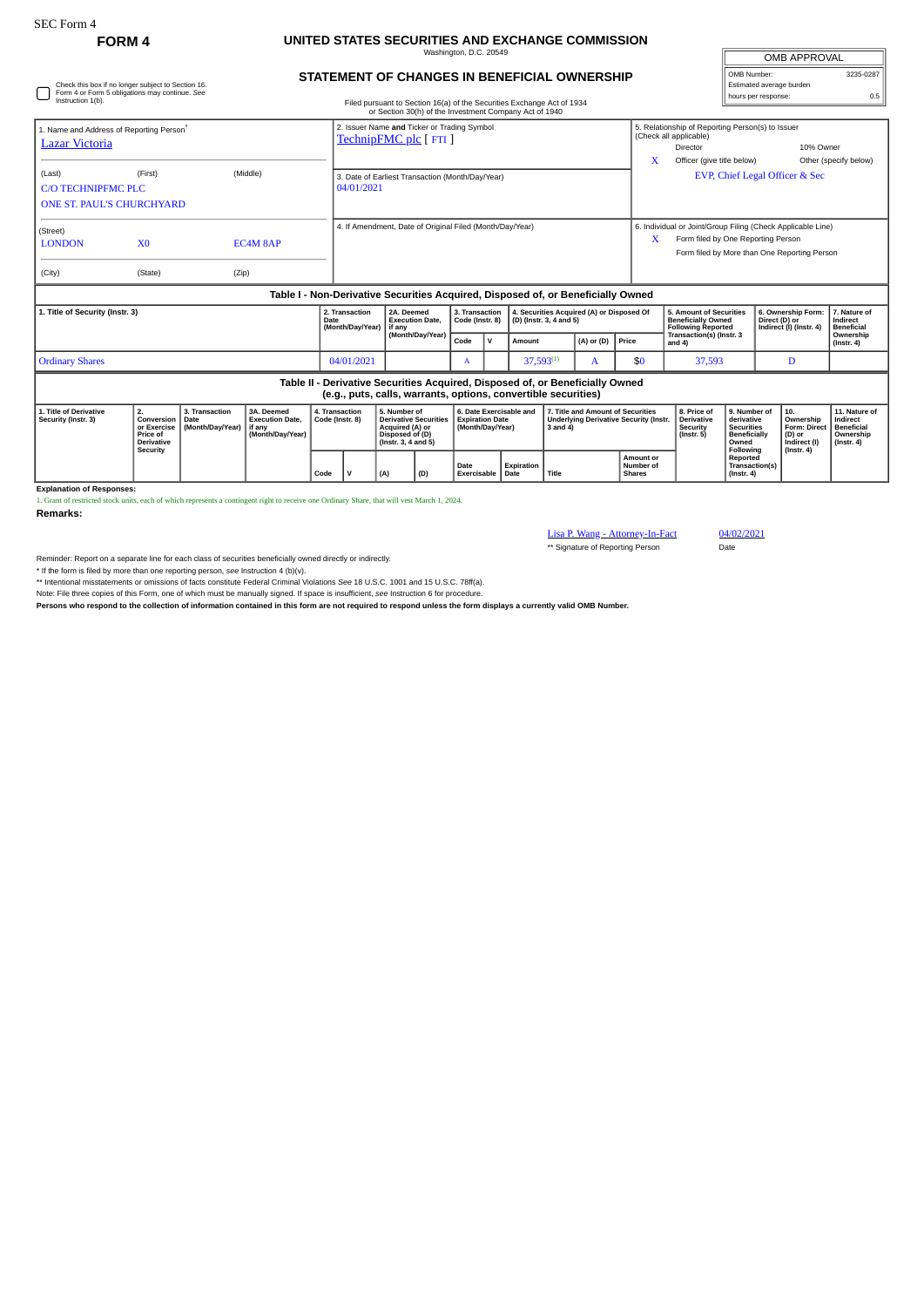Check this box if no longer subject to Section 16. Form 4 or Form 5 obligations may continue. *See*

## **FORM 4 UNITED STATES SECURITIES AND EXCHANGE COMMISSION** Washington, D.C. 20549

**STATEMENT OF CHANGES IN BENEFICIAL OWNERSHIP**

| <b>OMB APPROVAL</b>      |           |  |  |  |  |  |  |
|--------------------------|-----------|--|--|--|--|--|--|
| OMB Number:              | 3235-0287 |  |  |  |  |  |  |
| Estimated average burden |           |  |  |  |  |  |  |
| hours per response:      |           |  |  |  |  |  |  |

| Instruction 1(b).                                                      |                                                                  |                                            |                                                                                  |      |                                                                     |      |                                                                                                              |                                         |                                                                       | Filed pursuant to Section 16(a) of the Securities Exchange Act of 1934<br>or Section 30(h) of the Investment Company Act of 1940 |                                         |                                                                                                                                                   |                                                                                   |                                                                                                                                                            | nouro per reopernoe                                                                                                                            |                                                                                |                                                                          |
|------------------------------------------------------------------------|------------------------------------------------------------------|--------------------------------------------|----------------------------------------------------------------------------------|------|---------------------------------------------------------------------|------|--------------------------------------------------------------------------------------------------------------|-----------------------------------------|-----------------------------------------------------------------------|----------------------------------------------------------------------------------------------------------------------------------|-----------------------------------------|---------------------------------------------------------------------------------------------------------------------------------------------------|-----------------------------------------------------------------------------------|------------------------------------------------------------------------------------------------------------------------------------------------------------|------------------------------------------------------------------------------------------------------------------------------------------------|--------------------------------------------------------------------------------|--------------------------------------------------------------------------|
| 1. Name and Address of Reporting Person <sup>*</sup><br>Lazar Victoria |                                                                  |                                            |                                                                                  |      | 2. Issuer Name and Ticker or Trading Symbol<br>TechnipFMC plc [FTI] |      |                                                                                                              |                                         |                                                                       |                                                                                                                                  |                                         |                                                                                                                                                   | x                                                                                 | 5. Relationship of Reporting Person(s) to Issuer<br>(Check all applicable)<br>10% Owner<br>Director<br>Officer (give title below)<br>Other (specify below) |                                                                                                                                                |                                                                                |                                                                          |
| (Last)<br>C/O TECHNIPEMC PLC<br><b>ONE ST. PAUL'S CHURCHYARD</b>       | (First)                                                          |                                            | (Middle)                                                                         |      | 3. Date of Earliest Transaction (Month/Day/Year)<br>04/01/2021      |      |                                                                                                              |                                         |                                                                       |                                                                                                                                  |                                         |                                                                                                                                                   | EVP, Chief Legal Officer & Sec                                                    |                                                                                                                                                            |                                                                                                                                                |                                                                                |                                                                          |
| (Street)<br><b>LONDON</b><br>(City)                                    | X <sub>0</sub><br>(State)                                        | (Zip)                                      | EC4M 8AP                                                                         |      | 4. If Amendment, Date of Original Filed (Month/Day/Year)            |      |                                                                                                              |                                         |                                                                       |                                                                                                                                  | X                                       | 6. Individual or Joint/Group Filing (Check Applicable Line)<br>Form filed by One Reporting Person<br>Form filed by More than One Reporting Person |                                                                                   |                                                                                                                                                            |                                                                                                                                                |                                                                                |                                                                          |
|                                                                        |                                                                  |                                            | Table I - Non-Derivative Securities Acquired, Disposed of, or Beneficially Owned |      |                                                                     |      |                                                                                                              |                                         |                                                                       |                                                                                                                                  |                                         |                                                                                                                                                   |                                                                                   |                                                                                                                                                            |                                                                                                                                                |                                                                                |                                                                          |
| 1. Title of Security (Instr. 3)                                        |                                                                  |                                            |                                                                                  | Date | 2. Transaction<br>(Month/Day/Year)                                  |      | 2A. Deemed<br><b>Execution Date,</b><br>l if anv                                                             | 3. Transaction<br>Code (Instr. 8)       |                                                                       | 4. Securities Acquired (A) or Disposed Of<br>(D) (Instr. 3, 4 and 5)                                                             |                                         |                                                                                                                                                   | 5. Amount of Securities<br><b>Beneficially Owned</b><br><b>Following Reported</b> |                                                                                                                                                            | 6. Ownership Form:<br>Direct (D) or<br>Indirect (I) (Instr. 4)                                                                                 | 7. Nature of<br>Indirect<br><b>Beneficial</b>                                  |                                                                          |
|                                                                        |                                                                  |                                            |                                                                                  |      |                                                                     |      | (Month/Day/Year)                                                                                             | Code                                    | $\mathsf{v}$                                                          | Amount                                                                                                                           |                                         | (A) or (D)                                                                                                                                        | Price                                                                             | Transaction(s) (Instr. 3<br>and $4$ )                                                                                                                      |                                                                                                                                                |                                                                                | Ownership<br>$($ Instr. 4 $)$                                            |
| <b>Ordinary Shares</b>                                                 |                                                                  |                                            |                                                                                  |      | 04/01/2021                                                          |      |                                                                                                              | А                                       |                                                                       | $37,593^{(1)}$                                                                                                                   |                                         | A                                                                                                                                                 | \$0                                                                               | 37,593                                                                                                                                                     |                                                                                                                                                | D                                                                              |                                                                          |
|                                                                        |                                                                  |                                            |                                                                                  |      |                                                                     |      |                                                                                                              |                                         |                                                                       | (e.g., puts, calls, warrants, options, convertible securities)                                                                   |                                         | Table II - Derivative Securities Acquired, Disposed of, or Beneficially Owned                                                                     |                                                                                   |                                                                                                                                                            |                                                                                                                                                |                                                                                |                                                                          |
| 1. Title of Derivative<br>Security (Instr. 3)                          | 2.<br>Conversion<br>or Exercise<br>Price of<br><b>Derivative</b> | 3. Transaction<br>Date<br>(Month/Day/Year) | 3A. Deemed<br><b>Execution Date,</b><br>if any<br>(Month/Day/Year)               |      | 4. Transaction<br>Code (Instr. 8)                                   |      | 5. Number of<br><b>Derivative Securities</b><br>Acquired (A) or<br>Disposed of (D)<br>$($ Instr. 3, 4 and 5) |                                         | 6. Date Exercisable and<br><b>Expiration Date</b><br>(Month/Day/Year) |                                                                                                                                  | 3 and 4)                                | 7. Title and Amount of Securities                                                                                                                 | <b>Underlying Derivative Security (Instr.</b>                                     | 8. Price of<br><b>Derivative</b><br>Security<br>$($ Instr. 5 $)$                                                                                           | 9. Number of<br>derivative<br><b>Securities</b><br><b>Beneficially</b><br>Owned<br>Following<br>Reported<br>Transaction(s)<br>$($ lnstr. 4 $)$ | 10.<br>Ownership<br>Form: Direct<br>(D) or<br>Indirect (I)<br>$($ Instr. 4 $)$ | 11. Nature of<br>Indirect<br>Beneficial<br>Ownership<br>$($ Instr. 4 $)$ |
|                                                                        | Security                                                         |                                            |                                                                                  | Code | $\mathsf{v}$                                                        | Date |                                                                                                              | Expiration<br>Exercisable Date<br>Title |                                                                       |                                                                                                                                  | Amount or<br>Number of<br><b>Shares</b> |                                                                                                                                                   |                                                                                   |                                                                                                                                                            |                                                                                                                                                |                                                                                |                                                                          |

**Explanation of Responses:**

1. Grant of restricted stock units, each of which represents a contingent right to receive one Ordinary Share, that will vest March 1, 2024.

**Remarks:**

Lisa P. Wang - Attorney-In-Fact 04/02/2021

\*\* Signature of Reporting Person Date

Reminder: Report on a separate line for each class of securities beneficially owned directly or indirectly.

\* If the form is filed by more than one reporting person, *see* Instruction 4 (b)(v).

\*\* Intentional misstatements or omissions of facts constitute Federal Criminal Violations See 18 U.S.C. 1001 and 15 U.S.C. 78ff(a).<br>Note: File three copies of this Form, one of which must be manually signed. If space is in

**Persons who respond to the collection of information contained in this form are not required to respond unless the form displays a currently valid OMB Number.**